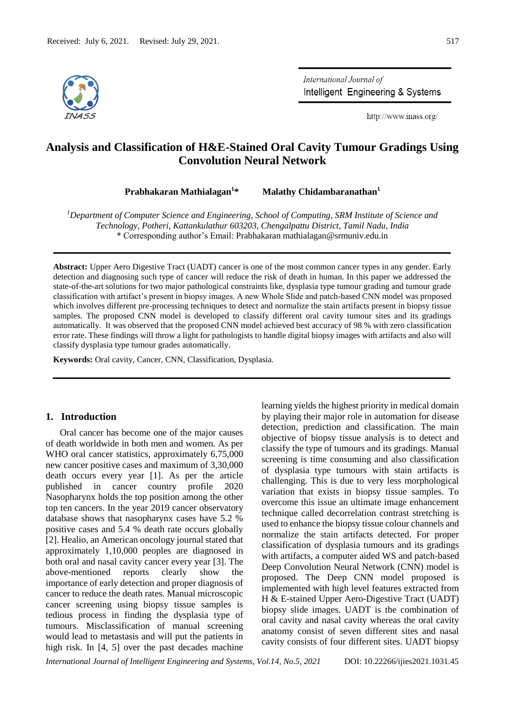

International Journal of Intelligent Engineering & Systems

http://www.inass.org/

# **Analysis and Classification of H&E-Stained Oral Cavity Tumour Gradings Using Convolution Neural Network**

**Prabhakaran Mathialagan<sup>1</sup>\* Malathy Chidambaranathan<sup>1</sup>**

*<sup>1</sup>Department of Computer Science and Engineering, School of Computing, SRM Institute of Science and Technology, Potheri, Kattankulathur 603203, Chengalpattu District, Tamil Nadu, India* \* Corresponding author's Email: Prabhakaran mathialagan@srmuniv.edu.in

**Abstract:** Upper Aero Digestive Tract (UADT) cancer is one of the most common cancer types in any gender. Early detection and diagnosing such type of cancer will reduce the risk of death in human. In this paper we addressed the state-of-the-art solutions for two major pathological constraints like, dysplasia type tumour grading and tumour grade classification with artifact's present in biopsy images. A new Whole Slide and patch-based CNN model was proposed which involves different pre-processing techniques to detect and normalize the stain artifacts present in biopsy tissue samples. The proposed CNN model is developed to classify different oral cavity tumour sites and its gradings automatically. It was observed that the proposed CNN model achieved best accuracy of 98 % with zero classification error rate. These findings will throw a light for pathologists to handle digital biopsy images with artifacts and also will classify dysplasia type tumour grades automatically.

**Keywords:** Oral cavity, Cancer, CNN, Classification, Dysplasia.

### **1. Introduction**

Oral cancer has become one of the major causes of death worldwide in both men and women. As per WHO oral cancer statistics, approximately 6,75,000 new cancer positive cases and maximum of 3,30,000 death occurs every year [1]. As per the article published in cancer country profile 2020 Nasopharynx holds the top position among the other top ten cancers. In the year 2019 cancer observatory database shows that nasopharynx cases have 5.2 % positive cases and 5.4 % death rate occurs globally [2]. Healio, an American oncology journal stated that approximately 1,10,000 peoples are diagnosed in both oral and nasal cavity cancer every year [3]. The above-mentioned reports clearly show the importance of early detection and proper diagnosis of cancer to reduce the death rates. Manual microscopic cancer screening using biopsy tissue samples is tedious process in finding the dysplasia type of tumours. Misclassification of manual screening would lead to metastasis and will put the patients in high risk. In [4, 5] over the past decades machine

learning yields the highest priority in medical domain by playing their major role in automation for disease detection, prediction and classification. The main objective of biopsy tissue analysis is to detect and classify the type of tumours and its gradings. Manual screening is time consuming and also classification of dysplasia type tumours with stain artifacts is challenging. This is due to very less morphological variation that exists in biopsy tissue samples. To overcome this issue an ultimate image enhancement technique called decorrelation contrast stretching is used to enhance the biopsy tissue colour channels and normalize the stain artifacts detected. For proper classification of dysplasia tumours and its gradings with artifacts, a computer aided WS and patch-based Deep Convolution Neural Network (CNN) model is proposed. The Deep CNN model proposed is implemented with high level features extracted from H & E-stained Upper Aero-Digestive Tract (UADT) biopsy slide images. UADT is the combination of oral cavity and nasal cavity whereas the oral cavity anatomy consist of seven different sites and nasal cavity consists of four different sites. UADT biopsy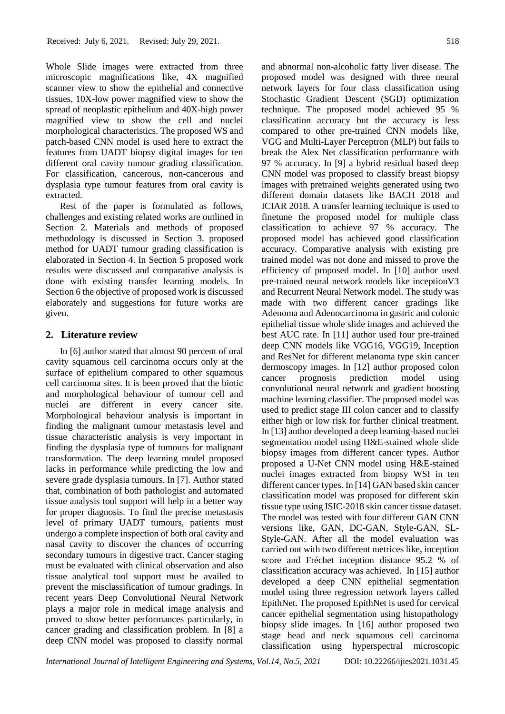Whole Slide images were extracted from three microscopic magnifications like, 4X magnified scanner view to show the epithelial and connective tissues, 10X-low power magnified view to show the spread of neoplastic epithelium and 40X-high power magnified view to show the cell and nuclei morphological characteristics. The proposed WS and patch-based CNN model is used here to extract the features from UADT biopsy digital images for ten different oral cavity tumour grading classification. For classification, cancerous, non-cancerous and dysplasia type tumour features from oral cavity is extracted.

Rest of the paper is formulated as follows, challenges and existing related works are outlined in Section 2. Materials and methods of proposed methodology is discussed in Section 3. proposed method for UADT tumour grading classification is elaborated in Section 4. In Section 5 proposed work results were discussed and comparative analysis is done with existing transfer learning models. In Section 6 the objective of proposed work is discussed elaborately and suggestions for future works are given.

# **2. Literature review**

In [6] author stated that almost 90 percent of oral cavity squamous cell carcinoma occurs only at the surface of epithelium compared to other squamous cell carcinoma sites. It is been proved that the biotic and morphological behaviour of tumour cell and nuclei are different in every cancer site. Morphological behaviour analysis is important in finding the malignant tumour metastasis level and tissue characteristic analysis is very important in finding the dysplasia type of tumours for malignant transformation. The deep learning model proposed lacks in performance while predicting the low and severe grade dysplasia tumours. In [7]. Author stated that, combination of both pathologist and automated tissue analysis tool support will help in a better way for proper diagnosis. To find the precise metastasis level of primary UADT tumours, patients must undergo a complete inspection of both oral cavity and nasal cavity to discover the chances of occurring secondary tumours in digestive tract. Cancer staging must be evaluated with clinical observation and also tissue analytical tool support must be availed to prevent the misclassification of tumour gradings. In recent years Deep Convolutional Neural Network plays a major role in medical image analysis and proved to show better performances particularly, in cancer grading and classification problem. In [8] a deep CNN model was proposed to classify normal

and abnormal non-alcoholic fatty liver disease. The proposed model was designed with three neural network layers for four class classification using Stochastic Gradient Descent (SGD) optimization technique. The proposed model achieved 95 % classification accuracy but the accuracy is less compared to other pre-trained CNN models like, VGG and Multi-Layer Perceptron (MLP) but fails to break the Alex Net classification performance with 97 % accuracy. In [9] a hybrid residual based deep CNN model was proposed to classify breast biopsy images with pretrained weights generated using two different domain datasets like BACH 2018 and ICIAR 2018. A transfer learning technique is used to finetune the proposed model for multiple class classification to achieve 97 % accuracy. The proposed model has achieved good classification accuracy. Comparative analysis with existing pre trained model was not done and missed to prove the efficiency of proposed model. In [10] author used pre-trained neural network models like inceptionV3 and Recurrent Neural Network model. The study was made with two different cancer gradings like Adenoma and Adenocarcinoma in gastric and colonic epithelial tissue whole slide images and achieved the best AUC rate. In [11] author used four pre-trained deep CNN models like VGG16, VGG19, Inception and ResNet for different melanoma type skin cancer dermoscopy images. In [12] author proposed colon cancer prognosis prediction model using convolutional neural network and gradient boosting machine learning classifier. The proposed model was used to predict stage III colon cancer and to classify either high or low risk for further clinical treatment. In [13] author developed a deep learning-based nuclei segmentation model using H&E-stained whole slide biopsy images from different cancer types. Author proposed a U-Net CNN model using H&E-stained nuclei images extracted from biopsy WSI in ten different cancer types. In [14] GAN based skin cancer classification model was proposed for different skin tissue type using ISIC-2018 skin cancer tissue dataset. The model was tested with four different GAN CNN versions like, GAN, DC-GAN, Style-GAN, SL-Style-GAN. After all the model evaluation was carried out with two different metrices like, inception score and Fréchet inception distance 95.2 % of classification accuracy was achieved. In [15] author developed a deep CNN epithelial segmentation model using three regression network layers called EpithNet. The proposed EpithNet is used for cervical

cancer epithelial segmentation using histopathology biopsy slide images. In [16] author proposed two stage head and neck squamous cell carcinoma classification using hyperspectral microscopic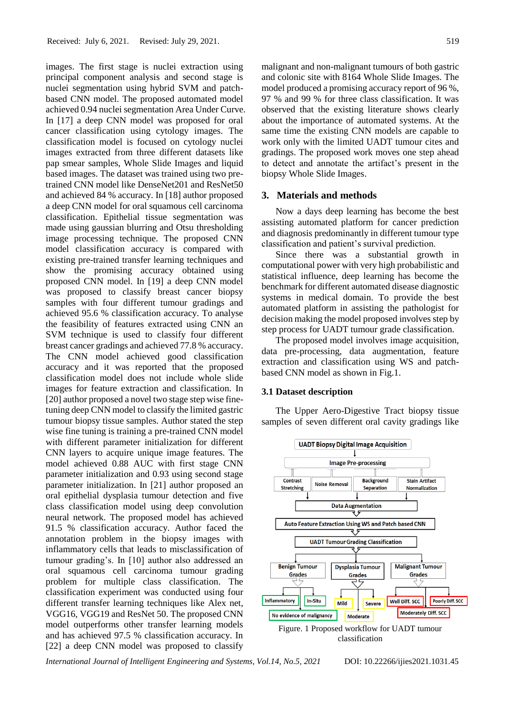images. The first stage is nuclei extraction using principal component analysis and second stage is nuclei segmentation using hybrid SVM and patchbased CNN model. The proposed automated model achieved 0.94 nuclei segmentation Area Under Curve. In [17] a deep CNN model was proposed for oral cancer classification using cytology images. The classification model is focused on cytology nuclei images extracted from three different datasets like pap smear samples, Whole Slide Images and liquid based images. The dataset was trained using two pretrained CNN model like DenseNet201 and ResNet50 and achieved 84 % accuracy. In [18] author proposed a deep CNN model for oral squamous cell carcinoma classification. Epithelial tissue segmentation was made using gaussian blurring and Otsu thresholding image processing technique. The proposed CNN model classification accuracy is compared with existing pre-trained transfer learning techniques and show the promising accuracy obtained using proposed CNN model. In [19] a deep CNN model was proposed to classify breast cancer biopsy samples with four different tumour gradings and achieved 95.6 % classification accuracy. To analyse the feasibility of features extracted using CNN an SVM technique is used to classify four different breast cancer gradings and achieved 77.8 % accuracy. The CNN model achieved good classification accuracy and it was reported that the proposed classification model does not include whole slide images for feature extraction and classification. In [20] author proposed a novel two stage step wise finetuning deep CNN model to classify the limited gastric tumour biopsy tissue samples. Author stated the step wise fine tuning is training a pre-trained CNN model with different parameter initialization for different CNN layers to acquire unique image features. The model achieved 0.88 AUC with first stage CNN parameter initialization and 0.93 using second stage parameter initialization. In [21] author proposed an oral epithelial dysplasia tumour detection and five class classification model using deep convolution neural network. The proposed model has achieved 91.5 % classification accuracy. Author faced the annotation problem in the biopsy images with inflammatory cells that leads to misclassification of tumour grading's. In [10] author also addressed an oral squamous cell carcinoma tumour grading problem for multiple class classification. The classification experiment was conducted using four different transfer learning techniques like Alex net, VGG16, VGG19 and ResNet 50. The proposed CNN model outperforms other transfer learning models and has achieved 97.5 % classification accuracy. In [22] a deep CNN model was proposed to classify

malignant and non-malignant tumours of both gastric and colonic site with 8164 Whole Slide Images. The model produced a promising accuracy report of 96 %, 97 % and 99 % for three class classification. It was observed that the existing literature shows clearly about the importance of automated systems. At the same time the existing CNN models are capable to work only with the limited UADT tumour cites and gradings. The proposed work moves one step ahead to detect and annotate the artifact's present in the biopsy Whole Slide Images.

#### **3. Materials and methods**

Now a days deep learning has become the best assisting automated platform for cancer prediction and diagnosis predominantly in different tumour type classification and patient's survival prediction.

Since there was a substantial growth in computational power with very high probabilistic and statistical influence, deep learning has become the benchmark for different automated disease diagnostic systems in medical domain. To provide the best automated platform in assisting the pathologist for decision making the model proposed involves step by step process for UADT tumour grade classification.

The proposed model involves image acquisition, data pre-processing, data augmentation, feature extraction and classification using WS and patchbased CNN model as shown in Fig.1.

#### **3.1 Dataset description**

The Upper Aero-Digestive Tract biopsy tissue samples of seven different oral cavity gradings like



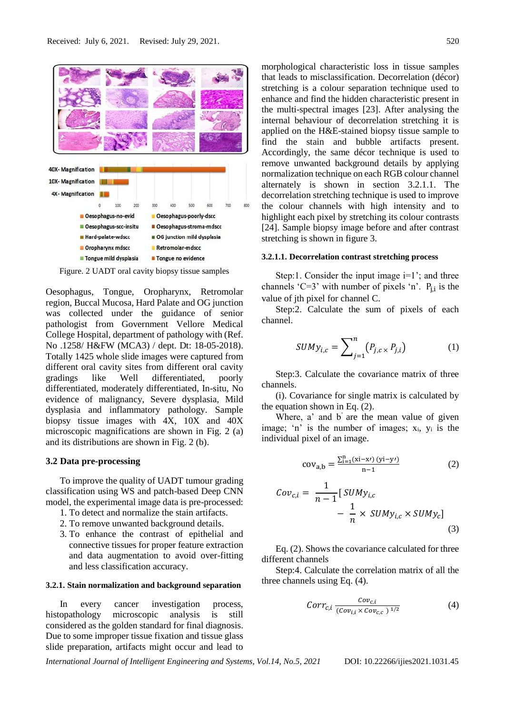

Figure. 2 UADT oral cavity biopsy tissue samples

Oesophagus, Tongue, Oropharynx, Retromolar region, Buccal Mucosa, Hard Palate and OG junction was collected under the guidance of senior pathologist from Government Vellore Medical College Hospital, department of pathology with (Ref. No .1258/ H&FW (MCA3) / dept. Dt: 18-05-2018). Totally 1425 whole slide images were captured from different oral cavity sites from different oral cavity gradings like Well differentiated, poorly differentiated, moderately differentiated, In-situ, No evidence of malignancy, Severe dysplasia, Mild dysplasia and inflammatory pathology. Sample biopsy tissue images with 4X, 10X and 40X microscopic magnifications are shown in Fig. 2 (a) and its distributions are shown in Fig. 2 (b).

# **3.2 Data pre-processing**

To improve the quality of UADT tumour grading classification using WS and patch-based Deep CNN model, the experimental image data is pre-processed:

- 1. To detect and normalize the stain artifacts.
- 2. To remove unwanted background details.
- 3. To enhance the contrast of epithelial and connective tissues for proper feature extraction and data augmentation to avoid over-fitting and less classification accuracy.

#### **3.2.1. Stain normalization and background separation**

In every cancer investigation process, histopathology microscopic analysis is still considered as the golden standard for final diagnosis. Due to some improper tissue fixation and tissue glass slide preparation, artifacts might occur and lead to

morphological characteristic loss in tissue samples that leads to misclassification. Decorrelation (décor) stretching is a colour separation technique used to enhance and find the hidden characteristic present in the multi-spectral images [23]. After analysing the internal behaviour of decorrelation stretching it is applied on the H&E-stained biopsy tissue sample to find the stain and bubble artifacts present. Accordingly, the same décor technique is used to remove unwanted background details by applying normalization technique on each RGB colour channel alternately is shown in section 3.2.1.1. The decorrelation stretching technique is used to improve the colour channels with high intensity and to highlight each pixel by stretching its colour contrasts [24]. Sample biopsy image before and after contrast stretching is shown in figure 3.

#### **3.2.1.1. Decorrelation contrast stretching process**

Step:1. Consider the input image  $i=1$ '; and three channels 'C=3' with number of pixels 'n'.  $P_{j,i}$  is the value of jth pixel for channel C.

Step:2. Calculate the sum of pixels of each channel.

$$
SUMy_{i,c} = \sum_{j=1}^{n} (P_{j,c} \times P_{j,i})
$$
 (1)

Step:3. Calculate the covariance matrix of three channels.

(i). Covariance for single matrix is calculated by the equation shown in Eq. (2).

Where, a' and b' are the mean value of given image; 'n' is the number of images;  $x_i$ ,  $y_i$  is the individual pixel of an image.

$$
cov_{a,b} = \frac{\sum_{i=1}^{n} (xi - x^{j}) (yi - y^{j})}{n - 1}
$$
 (2)

$$
Cov_{c,i} = \frac{1}{n-1} [SUMy_{i,c} - \frac{1}{n} \times SUMy_{i,c} \times SUMy_c] - \frac{1}{n} \times SUMy_{i,c} \times SUMy_c]
$$
\n(3)

Eq. (2). Shows the covariance calculated for three different channels

Step:4. Calculate the correlation matrix of all the three channels using Eq. (4).

$$
Corr_{c,i} \frac{Cov_{c,i}}{(Cov_{i,i} \times Cov_{c,c})^{1/2}}
$$
 (4)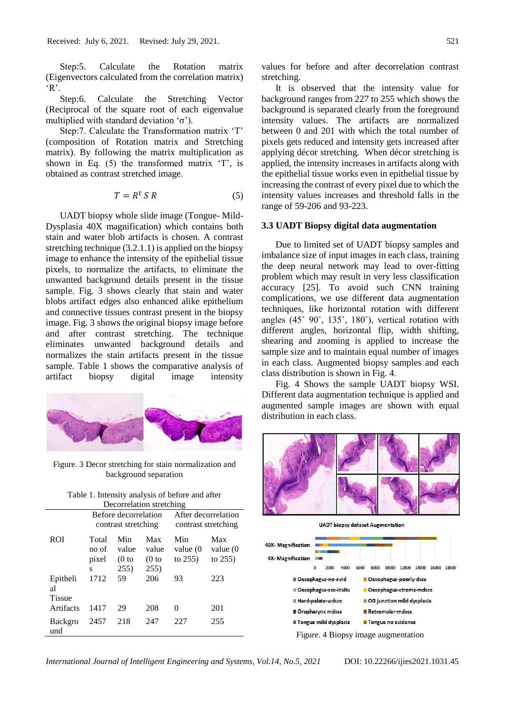Step:5. Calculate the Rotation matrix (Eigenvectors calculated from the correlation matrix) 'R'.

Step:6. Calculate the Stretching Vector (Reciprocal of the square root of each eigenvalue multiplied with standard deviation 'σ').

Step:7. Calculate the Transformation matrix 'T' (composition of Rotation matrix and Stretching matrix). By following the matrix multiplication as shown in Eq. (5) the transformed matrix 'T', is obtained as contrast stretched image.

$$
T = R^t S R \tag{5}
$$

UADT biopsy whole slide image (Tongue- Mild-Dysplasia 40X magnification) which contains both stain and water blob artifacts is chosen. A contrast stretching technique (3.2.1.1) is applied on the biopsy image to enhance the intensity of the epithelial tissue pixels, to normalize the artifacts, to eliminate the unwanted background details present in the tissue sample. Fig. 3 shows clearly that stain and water blobs artifact edges also enhanced alike epithelium and connective tissues contrast present in the biopsy image. Fig. 3 shows the original biopsy image before and after contrast stretching. The technique eliminates unwanted background details and normalizes the stain artifacts present in the tissue sample. Table 1 shows the comparative analysis of artifact biopsy digital image intensity



Figure. 3 Decor stretching for stain normalization and background separation

|                          | Table 1. Intensity analysis of before and after |  |  |  |  |
|--------------------------|-------------------------------------------------|--|--|--|--|
| Decorrelation stretching |                                                 |  |  |  |  |

|                                 | Before decorrelation<br>contrast stretching |                                            | After decorrelation<br>contrast stretching |                             |                               |
|---------------------------------|---------------------------------------------|--------------------------------------------|--------------------------------------------|-----------------------------|-------------------------------|
| <b>ROI</b>                      | Total<br>no of<br>pixel<br>S                | Min<br>value<br>(0 <sub>to</sub> )<br>255) | Max<br>value<br>(0 <sub>to</sub> )<br>255) | Min<br>value (0<br>to $255$ | Max<br>value (0<br>to $255$ ) |
| Epitheli<br>al<br><b>Tissue</b> | 1712                                        | 59                                         | 206                                        | 93                          | 223                           |
| Artifacts                       | 1417                                        | 29                                         | 208                                        | $\Omega$                    | 201                           |
| <b>Backgro</b><br>und           | 2457                                        | 218                                        | 247                                        | 227                         | 255                           |

values for before and after decorrelation contrast stretching.

It is observed that the intensity value for background ranges from 227 to 255 which shows the background is separated clearly from the foreground intensity values. The artifacts are normalized between 0 and 201 with which the total number of pixels gets reduced and intensity gets increased after applying décor stretching. When décor stretching is applied, the intensity increases in artifacts along with the epithelial tissue works even in epithelial tissue by increasing the contrast of every pixel due to which the intensity values increases and threshold falls in the range of 59-206 and 93-223.

#### **3.3 UADT Biopsy digital data augmentation**

Due to limited set of UADT biopsy samples and imbalance size of input images in each class, training the deep neural network may lead to over-fitting problem which may result in very less classification accuracy [25]. To avoid such CNN training complications, we use different data augmentation techniques, like horizontal rotation with different angles (45˚ 90˚, 135˚, 180˚), vertical rotation with different angles, horizontal flip, width shifting, shearing and zooming is applied to increase the sample size and to maintain equal number of images in each class. Augmented biopsy samples and each class distribution is shown in Fig. 4.

Fig. 4 Shows the sample UADT biopsy WSI. Different data augmentation technique is applied and augmented sample images are shown with equal distribution in each class.



**UADT** biopsy dataset Augmentation **40X-Magnification 4X-Magnification STATE**  $\overline{0}$ 2000 4000 6000 8000 10000 12000 14000 16000 18000 **Desophagus-no-evid Desophagus-poorly-dscc Desophagus-scc-insitu** Oesophagus-stroma-mdscc **Hard-palate-wdscc** OG junction mild dysplasia Oropharynx mdscc Retromolar-mdscc Tongue mild dysplasia Tongue no evidence Figure. 4 Biopsy image augmentation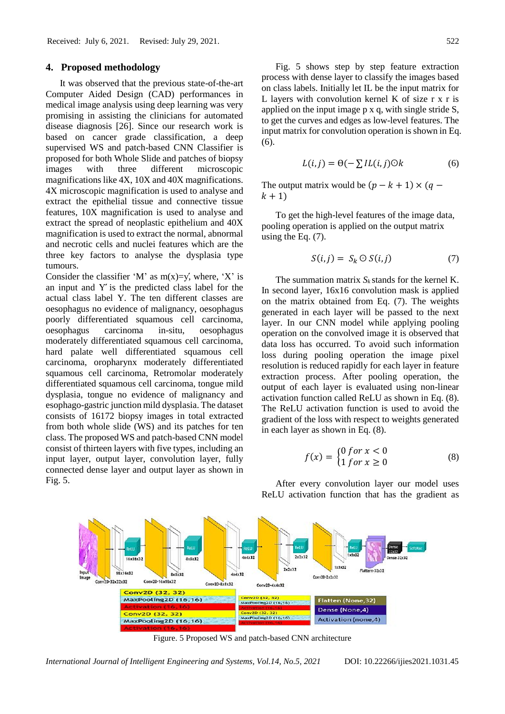#### **4. Proposed methodology**

It was observed that the previous state-of-the-art Computer Aided Design (CAD) performances in medical image analysis using deep learning was very promising in assisting the clinicians for automated disease diagnosis [26]. Since our research work is based on cancer grade classification, a deep supervised WS and patch-based CNN Classifier is proposed for both Whole Slide and patches of biopsy images with three different microscopic magnifications like 4X, 10X and 40X magnifications. 4X microscopic magnification is used to analyse and extract the epithelial tissue and connective tissue features, 10X magnification is used to analyse and extract the spread of neoplastic epithelium and 40X magnification is used to extract the normal, abnormal and necrotic cells and nuclei features which are the three key factors to analyse the dysplasia type tumours.

Consider the classifier 'M' as  $m(x)=y'$ , where, 'X' is an input and Ý́ is the predicted class label for the actual class label Y. The ten different classes are oesophagus no evidence of malignancy, oesophagus poorly differentiated squamous cell carcinoma, oesophagus carcinoma in-situ, oesophagus moderately differentiated squamous cell carcinoma, hard palate well differentiated squamous cell carcinoma, oropharynx moderately differentiated squamous cell carcinoma, Retromolar moderately differentiated squamous cell carcinoma, tongue mild dysplasia, tongue no evidence of malignancy and esophago-gastric junction mild dysplasia. The dataset consists of 16172 biopsy images in total extracted from both whole slide (WS) and its patches for ten class. The proposed WS and patch-based CNN model consist of thirteen layers with five types, including an input layer, output layer, convolution layer, fully connected dense layer and output layer as shown in Fig. 5.

Fig. 5 shows step by step feature extraction process with dense layer to classify the images based on class labels. Initially let IL be the input matrix for L layers with convolution kernel K of size r x r is applied on the input image p x q, with single stride S, to get the curves and edges as low-level features. The input matrix for convolution operation is shown in Eq. (6).

$$
L(i,j) = \Theta(-\sum IL(i,j)\odot k \tag{6}
$$

The output matrix would be  $(p - k + 1) \times (q$  $k + 1$ 

To get the high-level features of the image data, pooling operation is applied on the output matrix using the Eq. (7).

$$
S(i,j) = S_k \odot S(i,j) \tag{7}
$$

The summation matrix  $S_k$  stands for the kernel K. In second layer, 16x16 convolution mask is applied on the matrix obtained from Eq. (7). The weights generated in each layer will be passed to the next layer. In our CNN model while applying pooling operation on the convolved image it is observed that data loss has occurred. To avoid such information loss during pooling operation the image pixel resolution is reduced rapidly for each layer in feature extraction process. After pooling operation, the output of each layer is evaluated using non-linear activation function called ReLU as shown in Eq. (8). The ReLU activation function is used to avoid the gradient of the loss with respect to weights generated in each layer as shown in Eq. (8).

$$
f(x) = \begin{cases} 0 \text{ for } x < 0 \\ 1 \text{ for } x \ge 0 \end{cases} \tag{8}
$$



After every convolution layer our model uses ReLU activation function that has the gradient as

Figure. 5 Proposed WS and patch-based CNN architecture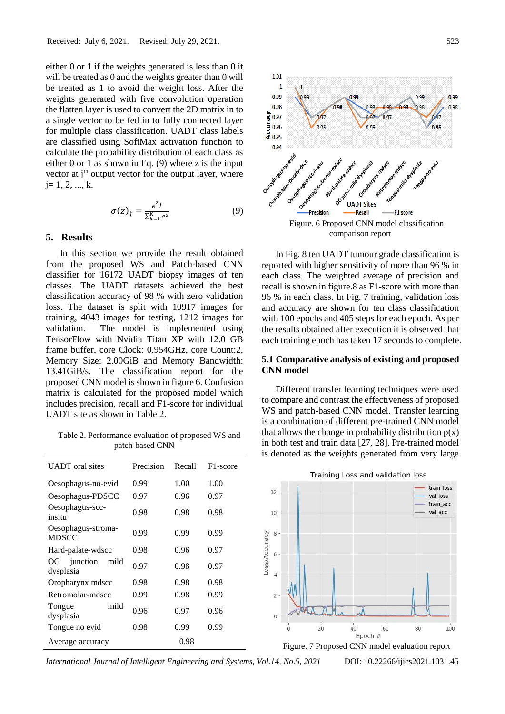either 0 or 1 if the weights generated is less than 0 it will be treated as 0 and the weights greater than 0 will be treated as 1 to avoid the weight loss. After the weights generated with five convolution operation the flatten layer is used to convert the 2D matrix in to a single vector to be fed in to fully connected layer for multiple class classification. UADT class labels are classified using SoftMax activation function to calculate the probability distribution of each class as either 0 or 1 as shown in Eq. (9) where z is the input vector at  $i<sup>th</sup>$  output vector for the output layer, where  $i= 1, 2, ..., k.$ 

$$
\sigma(z)_j = \frac{e^{z_j}}{\Sigma_{k=1}^K e^z} \tag{9}
$$

## **5. Results**

In this section we provide the result obtained from the proposed WS and Patch-based CNN classifier for 16172 UADT biopsy images of ten classes. The UADT datasets achieved the best classification accuracy of 98 % with zero validation loss. The dataset is split with 10917 images for training, 4043 images for testing, 1212 images for validation. The model is implemented using TensorFlow with Nvidia Titan XP with 12.0 GB frame buffer, core Clock: 0.954GHz, core Count:2, Memory Size: 2.00GiB and Memory Bandwidth: 13.41GiB/s. The classification report for the proposed CNN model is shown in figure 6. Confusion matrix is calculated for the proposed model which includes precision, recall and F1-score for individual UADT site as shown in Table 2.

Table 2. Performance evaluation of proposed WS and patch-based CNN

| <b>UADT</b> oral sites              | Precision | Recall | F <sub>1</sub> -score |
|-------------------------------------|-----------|--------|-----------------------|
| Oesophagus-no-evid                  | 0.99      | 1.00   | 1.00                  |
| Oesophagus-PDSCC                    | 0.97      | 0.96   | 0.97                  |
| Oesophagus-scc-<br>insitu           | 0.98      | 0.98   | 0.98                  |
| Oesophagus-stroma-<br><b>MDSCC</b>  | 0.99      | 0.99   | 0.99                  |
| Hard-palate-wdscc                   | 0.98      | 0.96   | 0.97                  |
| junction<br>OG<br>mild<br>dysplasia | 0.97      | 0.98   | 0.97                  |
| Oropharynx mdscc                    | 0.98      | 0.98   | 0.98                  |
| Retromolar-mdscc                    | 0.99      | 0.98   | 0.99                  |
| mild<br>Tongue<br>dysplasia         | 0.96      | 0.97   | 0.96                  |
| Tongue no evid                      | 0.98      | 0.99   | 0.99                  |
| Average accuracy                    |           | 0.98   |                       |



In Fig. 8 ten UADT tumour grade classification is reported with higher sensitivity of more than 96 % in each class. The weighted average of precision and recall is shown in figure.8 as F1-score with more than 96 % in each class. In Fig. 7 training, validation loss and accuracy are shown for ten class classification with 100 epochs and 405 steps for each epoch. As per the results obtained after execution it is observed that each training epoch has taken 17 seconds to complete.

# **5.1 Comparative analysis of existing and proposed CNN model**

Different transfer learning techniques were used to compare and contrast the effectiveness of proposed WS and patch-based CNN model. Transfer learning is a combination of different pre-trained CNN model that allows the change in probability distribution  $p(x)$ in both test and train data [27, 28]. Pre-trained model is denoted as the weights generated from very large



Training Loss and validation loss

Figure. 7 Proposed CNN model evaluation report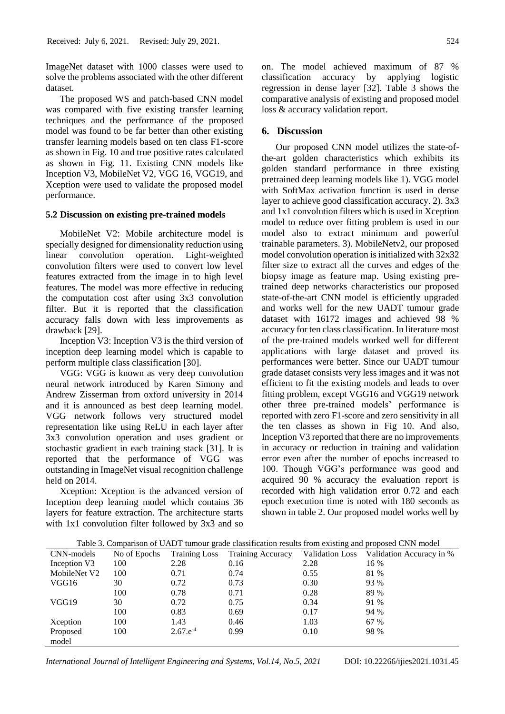ImageNet dataset with 1000 classes were used to solve the problems associated with the other different dataset.

The proposed WS and patch-based CNN model was compared with five existing transfer learning techniques and the performance of the proposed model was found to be far better than other existing transfer learning models based on ten class F1-score as shown in Fig. 10 and true positive rates calculated as shown in Fig. 11. Existing CNN models like Inception V3, MobileNet V2, VGG 16, VGG19, and Xception were used to validate the proposed model performance.

#### **5.2 Discussion on existing pre-trained models**

MobileNet V2: Mobile architecture model is specially designed for dimensionality reduction using linear convolution operation. Light-weighted convolution filters were used to convert low level features extracted from the image in to high level features. The model was more effective in reducing the computation cost after using 3x3 convolution filter. But it is reported that the classification accuracy falls down with less improvements as drawback [29].

Inception V3: Inception V3 is the third version of inception deep learning model which is capable to perform multiple class classification [30].

VGG: VGG is known as very deep convolution neural network introduced by Karen Simony and Andrew Zisserman from oxford university in 2014 and it is announced as best deep learning model. VGG network follows very structured model representation like using ReLU in each layer after 3x3 convolution operation and uses gradient or stochastic gradient in each training stack [31]. It is reported that the performance of VGG was outstanding in ImageNet visual recognition challenge held on 2014.

Xception: Xception is the advanced version of Inception deep learning model which contains 36 layers for feature extraction. The architecture starts with 1x1 convolution filter followed by 3x3 and so

model

on. The model achieved maximum of 87 % classification accuracy by applying logistic regression in dense layer [32]. Table 3 shows the comparative analysis of existing and proposed model loss & accuracy validation report.

### **6. Discussion**

Our proposed CNN model utilizes the state-ofthe-art golden characteristics which exhibits its golden standard performance in three existing pretrained deep learning models like 1). VGG model with SoftMax activation function is used in dense layer to achieve good classification accuracy. 2). 3x3 and 1x1 convolution filters which is used in Xception model to reduce over fitting problem is used in our model also to extract minimum and powerful trainable parameters. 3). MobileNetv2, our proposed model convolution operation is initialized with 32x32 filter size to extract all the curves and edges of the biopsy image as feature map. Using existing pretrained deep networks characteristics our proposed state-of-the-art CNN model is efficiently upgraded and works well for the new UADT tumour grade dataset with 16172 images and achieved 98 % accuracy for ten class classification. In literature most of the pre-trained models worked well for different applications with large dataset and proved its performances were better. Since our UADT tumour grade dataset consists very less images and it was not efficient to fit the existing models and leads to over fitting problem, except VGG16 and VGG19 network other three pre-trained models' performance is reported with zero F1-score and zero sensitivity in all the ten classes as shown in Fig 10. And also, Inception V3 reported that there are no improvements in accuracy or reduction in training and validation error even after the number of epochs increased to 100. Though VGG's performance was good and acquired 90 % accuracy the evaluation report is recorded with high validation error 0.72 and each epoch execution time is noted with 180 seconds as shown in table 2. Our proposed model works well by

|              |              |                      |                          | $\sim$                 |                          |
|--------------|--------------|----------------------|--------------------------|------------------------|--------------------------|
| CNN-models   | No of Epochs | <b>Training Loss</b> | <b>Training Accuracy</b> | <b>Validation Loss</b> | Validation Accuracy in % |
| Inception V3 | 100          | 2.28                 | 0.16                     | 2.28                   | 16 %                     |
| MobileNet V2 | 100          | 0.71                 | 0.74                     | 0.55                   | 81 %                     |
| VGG16        | 30           | 0.72                 | 0.73                     | 0.30                   | 93 %                     |
|              | 100          | 0.78                 | 0.71                     | 0.28                   | 89 %                     |
| VGG19        | 30           | 0.72                 | 0.75                     | 0.34                   | 91 %                     |
|              | 100          | 0.83                 | 0.69                     | 0.17                   | 94 %                     |
| Xception     | 100          | 1.43                 | 0.46                     | 1.03                   | 67 %                     |
| Proposed     | 100          | $2.67.e^{-4}$        | 0.99                     | 0.10                   | 98 %                     |

Table 3. Comparison of UADT tumour grade classification results from existing and proposed CNN model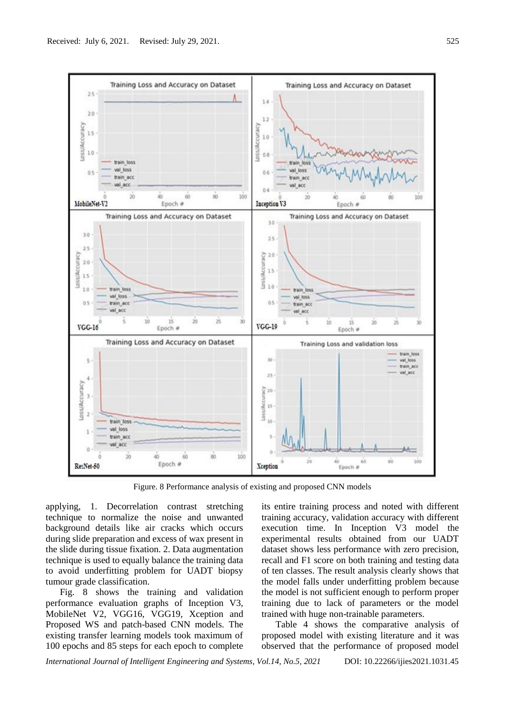

Figure. 8 Performance analysis of existing and proposed CNN models

applying, 1. Decorrelation contrast stretching technique to normalize the noise and unwanted background details like air cracks which occurs during slide preparation and excess of wax present in the slide during tissue fixation. 2. Data augmentation technique is used to equally balance the training data to avoid underfitting problem for UADT biopsy tumour grade classification.

Fig. 8 shows the training and validation performance evaluation graphs of Inception V3, MobileNet V2, VGG16, VGG19, Xception and Proposed WS and patch-based CNN models. The existing transfer learning models took maximum of 100 epochs and 85 steps for each epoch to complete

its entire training process and noted with different training accuracy, validation accuracy with different execution time. In Inception V3 model the experimental results obtained from our UADT dataset shows less performance with zero precision, recall and F1 score on both training and testing data of ten classes. The result analysis clearly shows that the model falls under underfitting problem because the model is not sufficient enough to perform proper training due to lack of parameters or the model trained with huge non-trainable parameters.

Table 4 shows the comparative analysis of proposed model with existing literature and it was observed that the performance of proposed model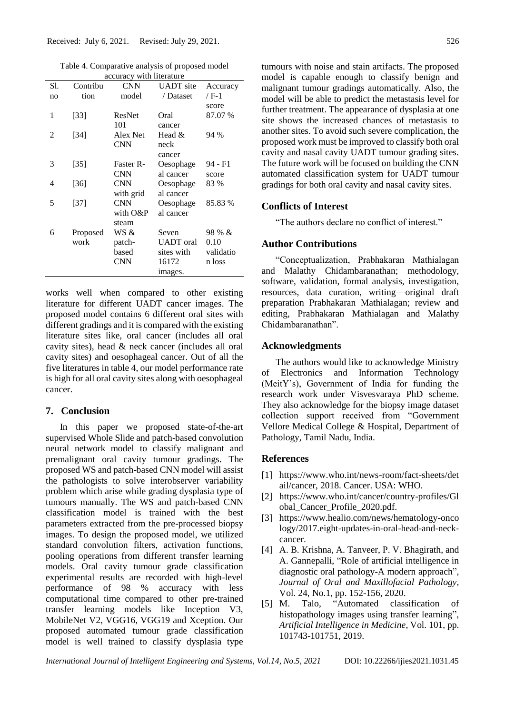Table 4. Comparative analysis of proposed model accuracy with literature

| accurac y with micrature |          |               |                  |           |  |
|--------------------------|----------|---------------|------------------|-----------|--|
| S1.                      | Contribu | <b>CNN</b>    | <b>UADT</b> site | Accuracy  |  |
| no                       | tion     | model         | / Dataset        | / F-1     |  |
|                          |          |               |                  | score     |  |
| 1                        | $[33]$   | <b>ResNet</b> | Oral             | 87.07 %   |  |
|                          |          | 101           | cancer           |           |  |
| 2                        | $[34]$   | Alex Net      | Head $&$         | 94 %      |  |
|                          |          | <b>CNN</b>    | neck             |           |  |
|                          |          |               | cancer           |           |  |
| 3                        | $[35]$   | Faster R-     | Oesophage        | 94 - F1   |  |
|                          |          | <b>CNN</b>    | al cancer        | score     |  |
| 4                        | $[36]$   | <b>CNN</b>    | Oesophage        | 83 %      |  |
|                          |          | with grid     | al cancer        |           |  |
| 5                        | $[37]$   | <b>CNN</b>    | Oesophage        | 85.83 %   |  |
|                          |          | with O&P      | al cancer        |           |  |
|                          |          | steam         |                  |           |  |
| 6                        | Proposed | WS &          | Seven            | 98 % &    |  |
|                          | work     | patch-        | <b>UADT</b> oral | 0.10      |  |
|                          |          | based         | sites with       | validatio |  |
|                          |          | <b>CNN</b>    | 16172            | n loss    |  |
|                          |          |               | images.          |           |  |
|                          |          |               |                  |           |  |

works well when compared to other existing literature for different UADT cancer images. The proposed model contains 6 different oral sites with different gradings and it is compared with the existing literature sites like, oral cancer (includes all oral cavity sites), head & neck cancer (includes all oral cavity sites) and oesophageal cancer. Out of all the five literatures in table 4, our model performance rate is high for all oral cavity sites along with oesophageal cancer.

## **7. Conclusion**

In this paper we proposed state-of-the-art supervised Whole Slide and patch-based convolution neural network model to classify malignant and premalignant oral cavity tumour gradings. The proposed WS and patch-based CNN model will assist the pathologists to solve interobserver variability problem which arise while grading dysplasia type of tumours manually. The WS and patch-based CNN classification model is trained with the best parameters extracted from the pre-processed biopsy images. To design the proposed model, we utilized standard convolution filters, activation functions, pooling operations from different transfer learning models. Oral cavity tumour grade classification experimental results are recorded with high-level performance of 98 % accuracy with less computational time compared to other pre-trained transfer learning models like Inception V3, MobileNet V2, VGG16, VGG19 and Xception. Our proposed automated tumour grade classification model is well trained to classify dysplasia type tumours with noise and stain artifacts. The proposed model is capable enough to classify benign and malignant tumour gradings automatically. Also, the model will be able to predict the metastasis level for further treatment. The appearance of dysplasia at one site shows the increased chances of metastasis to another sites. To avoid such severe complication, the proposed work must be improved to classify both oral cavity and nasal cavity UADT tumour grading sites. The future work will be focused on building the CNN automated classification system for UADT tumour gradings for both oral cavity and nasal cavity sites.

# **Conflicts of Interest**

"The authors declare no conflict of interest."

# **Author Contributions**

"Conceptualization, Prabhakaran Mathialagan and Malathy Chidambaranathan; methodology, software, validation, formal analysis, investigation, resources, data curation, writing—original draft preparation Prabhakaran Mathialagan; review and editing, Prabhakaran Mathialagan and Malathy Chidambaranathan".

## **Acknowledgments**

The authors would like to acknowledge Ministry of Electronics and Information Technology (MeitY's), Government of India for funding the research work under Visvesvaraya PhD scheme. They also acknowledge for the biopsy image dataset collection support received from "Government Vellore Medical College & Hospital, Department of Pathology, Tamil Nadu, India.

## **References**

- [1] https://www.who.int/news-room/fact-sheets/det ail/cancer, 2018. Cancer. USA: WHO.
- [2] https://www.who.int/cancer/country-profiles/Gl obal\_Cancer\_Profile\_2020.pdf.
- [3] https://www.healio.com/news/hematology-onco logy/2017.eight-updates-in-oral-head-and-neckcancer.
- [4] A. B. Krishna, A. Tanveer, P. V. Bhagirath, and A. Gannepalli, "Role of artificial intelligence in diagnostic oral pathology-A modern approach", *Journal of Oral and Maxillofacial Pathology*, Vol. 24, No.1, pp. 152-156, 2020.
- [5] M. Talo, "Automated classification of histopathology images using transfer learning", *Artificial Intelligence in Medicine*, Vol. 101, pp. 101743-101751, 2019.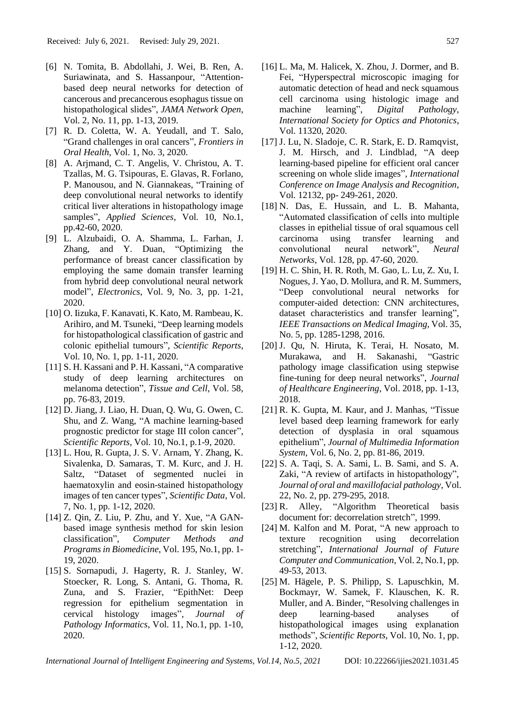- [6] N. Tomita, B. Abdollahi, J. Wei, B. Ren, A. Suriawinata, and S. Hassanpour, "Attentionbased deep neural networks for detection of cancerous and precancerous esophagus tissue on histopathological slides", *JAMA Network Open*, Vol. 2, No. 11, pp. 1-13, 2019.
- [7] R. D. Coletta, W. A. Yeudall, and T. Salo, "Grand challenges in oral cancers", *Frontiers in Oral Health*, Vol. 1, No. 3, 2020.
- [8] A. Arjmand, C. T. Angelis, V. Christou, A. T. Tzallas, M. G. Tsipouras, E. Glavas, R. Forlano, P. Manousou, and N. Giannakeas, "Training of deep convolutional neural networks to identify critical liver alterations in histopathology image samples", *Applied Sciences*, Vol. 10, No.1, pp.42-60, 2020.
- [9] L. Alzubaidi, O. A. Shamma, L. Farhan, J. Zhang, and Y. Duan, "Optimizing the performance of breast cancer classification by employing the same domain transfer learning from hybrid deep convolutional neural network model", *Electronics*, Vol. 9, No. 3, pp. 1-21, 2020.
- [10] O. Iizuka, F. Kanavati, K. Kato, M. Rambeau, K. Arihiro, and M. Tsuneki, "Deep learning models for histopathological classification of gastric and colonic epithelial tumours", *Scientific Reports*, Vol. 10, No. 1, pp. 1-11, 2020.
- [11] S. H. Kassani and P. H. Kassani, "A comparative study of deep learning architectures on melanoma detection", *Tissue and Cell*, Vol. 58, pp. 76-83, 2019.
- [12] D. Jiang, J. Liao, H. Duan, Q. Wu, G. Owen, C. Shu, and Z. Wang, "A machine learning-based prognostic predictor for stage III colon cancer", *Scientific Reports*, Vol. 10, No.1, p.1-9, 2020.
- [13] L. Hou, R. Gupta, J. S. V. Arnam, Y. Zhang, K. Sivalenka, D. Samaras, T. M. Kurc, and J. H. Saltz, "Dataset of segmented nuclei in haematoxylin and eosin-stained histopathology images of ten cancer types", *Scientific Data*, Vol. 7, No. 1, pp. 1-12, 2020.
- [14] Z. Qin, Z. Liu, P. Zhu, and Y. Xue, "A GANbased image synthesis method for skin lesion classification", *Computer Methods and Programs in Biomedicine*, Vol. 195, No.1, pp. 1- 19, 2020.
- [15] S. Sornapudi, J. Hagerty, R. J. Stanley, W. Stoecker, R. Long, S. Antani, G. Thoma, R. Zuna, and S. Frazier, "EpithNet: Deep regression for epithelium segmentation in cervical histology images", *Journal of Pathology Informatics*, Vol. 11, No.1, pp. 1-10, 2020.
- [16] L. Ma, M. Halicek, X. Zhou, J. Dormer, and B. Fei, "Hyperspectral microscopic imaging for automatic detection of head and neck squamous cell carcinoma using histologic image and machine learning", *Digital Pathology, International Society for Optics and Photonics*, Vol. 11320, 2020.
- [17] J. Lu, N. Sladoje, C. R. Stark, E. D. Ramqvist, J. M. Hirsch, and J. Lindblad, "A deep learning-based pipeline for efficient oral cancer screening on whole slide images", *International Conference on Image Analysis and Recognition*, Vol. 12132, pp- 249-261, 2020.
- [18] N. Das, E. Hussain, and L. B. Mahanta, "Automated classification of cells into multiple classes in epithelial tissue of oral squamous cell carcinoma using transfer learning and convolutional neural network", *Neural Networks*, Vol. 128, pp. 47-60, 2020.
- [19] H. C. Shin, H. R. Roth, M. Gao, L. Lu, Z. Xu, I. Nogues, J. Yao, D. Mollura, and R. M. Summers, "Deep convolutional neural networks for computer-aided detection: CNN architectures, dataset characteristics and transfer learning", *IEEE Transactions on Medical Imaging*, Vol. 35, No. 5, pp. 1285-1298, 2016.
- [20] J. Qu, N. Hiruta, K. Terai, H. Nosato, M. Murakawa, and H. Sakanashi, "Gastric pathology image classification using stepwise fine-tuning for deep neural networks", *Journal of Healthcare Engineering*, Vol. 2018, pp. 1-13, 2018.
- [21] R. K. Gupta, M. Kaur, and J. Manhas, "Tissue level based deep learning framework for early detection of dysplasia in oral squamous epithelium", *Journal of Multimedia Information System*, Vol. 6, No. 2, pp. 81-86, 2019.
- [22] S. A. Taqi, S. A. Sami, L. B. Sami, and S. A. Zaki, "A review of artifacts in histopathology", *Journal of oral and maxillofacial pathology*, Vol. 22, No. 2, pp. 279-295, 2018.
- [23] R. Alley, "Algorithm Theoretical basis document for: decorrelation stretch", 1999.
- [24] M. Kalfon and M. Porat, "A new approach to texture recognition using decorrelation stretching", *International Journal of Future Computer and Communication*, Vol. 2, No.1, pp. 49-53, 2013.
- [25] M. Hägele, P. S. Philipp, S. Lapuschkin, M. Bockmayr, W. Samek, F. Klauschen, K. R. Muller, and A. Binder, "Resolving challenges in deep learning-based analyses of histopathological images using explanation methods", *Scientific Reports*, Vol. 10, No. 1, pp. 1-12, 2020.